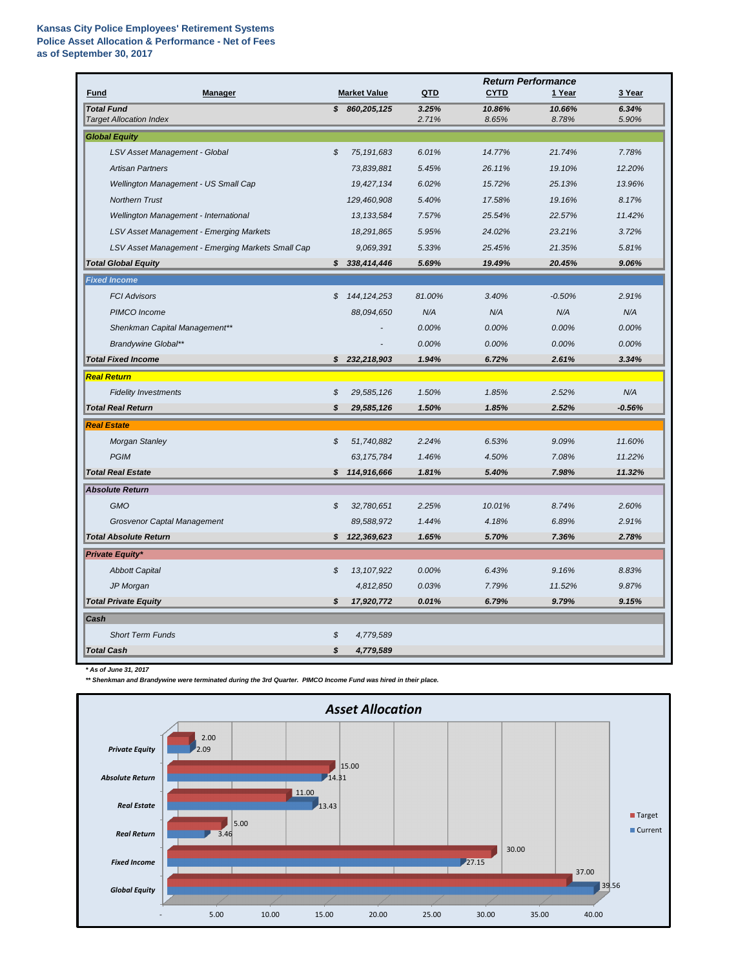## **Kansas City Police Employees' Retirement Systems Police Asset Allocation & Performance - Net of Fees as of September 30, 2017**

|                                                     |                                                   |                            |                     | <b>Return Performance</b> |                 |                 |                |  |
|-----------------------------------------------------|---------------------------------------------------|----------------------------|---------------------|---------------------------|-----------------|-----------------|----------------|--|
| <b>Fund</b>                                         | <b>Manager</b>                                    |                            | <b>Market Value</b> | QTD                       | <b>CYTD</b>     | 1 Year          | 3 Year         |  |
| <b>Total Fund</b><br><b>Target Allocation Index</b> |                                                   |                            | \$860,205,125       | 3.25%<br>2.71%            | 10.86%<br>8.65% | 10.66%<br>8.78% | 6.34%<br>5.90% |  |
| <b>Global Equity</b>                                |                                                   |                            |                     |                           |                 |                 |                |  |
|                                                     | LSV Asset Management - Global                     | $\mathcal{L}$              | 75, 191, 683        | 6.01%                     | 14.77%          | 21.74%          | 7.78%          |  |
|                                                     | <b>Artisan Partners</b>                           |                            | 73,839,881          | 5.45%                     | 26.11%          | 19.10%          | 12.20%         |  |
|                                                     | Wellington Management - US Small Cap              |                            | 19,427,134          | 6.02%                     | 15.72%          | 25.13%          | 13.96%         |  |
|                                                     | <b>Northern Trust</b>                             |                            | 129,460,908         | 5.40%                     | 17.58%          | 19.16%          | 8.17%          |  |
|                                                     | Wellington Management - International             |                            | 13, 133, 584        | 7.57%                     | 25.54%          | 22.57%          | 11.42%         |  |
|                                                     | LSV Asset Management - Emerging Markets           |                            | 18,291,865          | 5.95%                     | 24.02%          | 23.21%          | 3.72%          |  |
|                                                     | LSV Asset Management - Emerging Markets Small Cap |                            | 9,069,391           | 5.33%                     | 25.45%          | 21.35%          | 5.81%          |  |
|                                                     | <b>Total Global Equity</b>                        |                            | \$338,414,446       | 5.69%                     | 19.49%          | 20.45%          | 9.06%          |  |
| <b>Fixed Income</b>                                 |                                                   |                            |                     |                           |                 |                 |                |  |
|                                                     | <b>FCI Advisors</b>                               | S                          | 144, 124, 253       | 81.00%                    | 3.40%           | $-0.50%$        | 2.91%          |  |
|                                                     | PIMCO Income                                      |                            | 88,094,650          | N/A                       | N/A             | N/A             | N/A            |  |
|                                                     | Shenkman Capital Management**                     |                            |                     | 0.00%                     | 0.00%           | 0.00%           | 0.00%          |  |
|                                                     | <b>Brandywine Global**</b>                        |                            |                     | 0.00%                     | 0.00%           | 0.00%           | 0.00%          |  |
|                                                     | <b>Total Fixed Income</b>                         |                            | \$232,218,903       | 1.94%                     | 6.72%           | 2.61%           | 3.34%          |  |
| <b>Real Return</b>                                  |                                                   |                            |                     |                           |                 |                 |                |  |
|                                                     | <b>Fidelity Investments</b>                       | S                          | 29,585,126          | 1.50%                     | 1.85%           | 2.52%           | N/A            |  |
|                                                     | <b>Total Real Return</b>                          | S                          | 29,585,126          | 1.50%                     | 1.85%           | 2.52%           | $-0.56%$       |  |
| <b>Real Estate</b>                                  |                                                   |                            |                     |                           |                 |                 |                |  |
|                                                     | Morgan Stanley                                    | \$                         | 51,740,882          | 2.24%                     | 6.53%           | 9.09%           | 11.60%         |  |
|                                                     | <b>PGIM</b>                                       |                            | 63, 175, 784        | 1.46%                     | 4.50%           | 7.08%           | 11.22%         |  |
|                                                     | <b>Total Real Estate</b>                          |                            | \$114,916,666       | 1.81%                     | 5.40%           | 7.98%           | 11.32%         |  |
|                                                     | <b>Absolute Return</b>                            |                            |                     |                           |                 |                 |                |  |
|                                                     | <b>GMO</b>                                        | \$                         | 32,780,651          | 2.25%                     | 10.01%          | 8.74%           | 2.60%          |  |
|                                                     | <b>Grosvenor Captal Management</b>                |                            | 89,588,972          | 1.44%                     | 4.18%           | 6.89%           | 2.91%          |  |
|                                                     | <b>Total Absolute Return</b>                      |                            | \$122,369,623       | 1.65%                     | 5.70%           | 7.36%           | 2.78%          |  |
|                                                     | <b>Private Equity*</b>                            |                            |                     |                           |                 |                 |                |  |
|                                                     | <b>Abbott Capital</b>                             | \$                         | 13, 107, 922        | 0.00%                     | 6.43%           | 9.16%           | 8.83%          |  |
|                                                     | JP Morgan                                         |                            | 4,812,850           | 0.03%                     | 7.79%           | 11.52%          | 9.87%          |  |
|                                                     | <b>Total Private Equity</b>                       | $\boldsymbol{\mathcal{S}}$ | 17,920,772          | 0.01%                     | 6.79%           | 9.79%           | 9.15%          |  |
| Cash                                                |                                                   |                            |                     |                           |                 |                 |                |  |
|                                                     | <b>Short Term Funds</b>                           | \$                         | 4,779,589           |                           |                 |                 |                |  |
| <b>Total Cash</b>                                   |                                                   | \$                         | 4,779,589           |                           |                 |                 |                |  |
|                                                     |                                                   |                            |                     |                           |                 |                 |                |  |

*\* As of June 31, 2017*

*\*\* Shenkman and Brandywine were terminated during the 3rd Quarter. PIMCO Income Fund was hired in their place.*